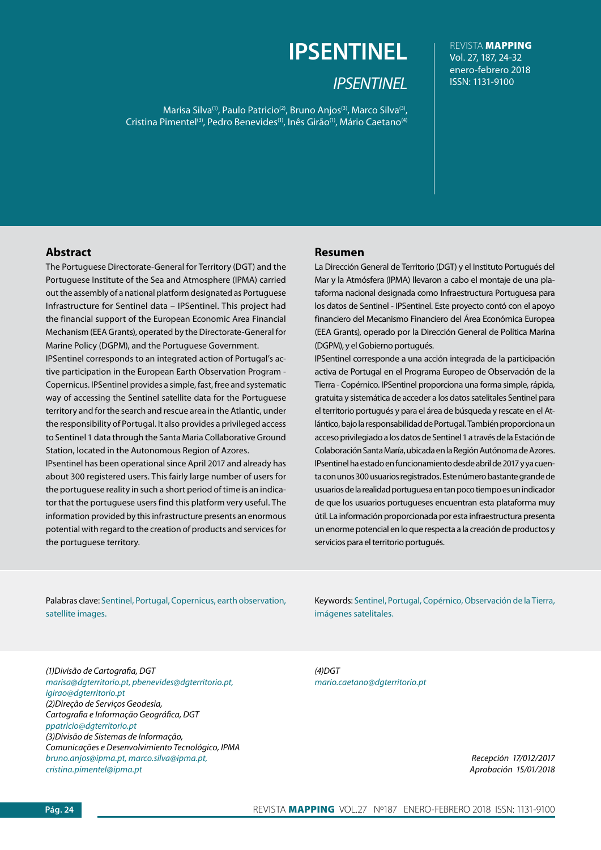# **IPSENTINEL**

# *IPSENTINEL*

Marisa Silva<sup>(1)</sup>, Paulo Patricio<sup>(2)</sup>, Bruno Anjos<sup>(3)</sup>, Marco Silva<sup>(3)</sup>, Cristina Pimentel<sup>(3)</sup>, Pedro Benevides<sup>(1)</sup>, Inês Girão<sup>(1)</sup>, Mário Caetano<sup>(4)</sup>

REVISTA MAPPING Vol. 27, 187, 24-32 enero-febrero 2018 ISSN: 1131-9100

## **Abstract**

The Portuguese Directorate-General for Territory (DGT) and the Portuguese Institute of the Sea and Atmosphere (IPMA) carried out the assembly of a national platform designated as Portuguese Infrastructure for Sentinel data – IPSentinel. This project had the financial support of the European Economic Area Financial Mechanism (EEA Grants), operated by the Directorate-General for Marine Policy (DGPM), and the Portuguese Government.

IPSentinel corresponds to an integrated action of Portugal's active participation in the European Earth Observation Program - Copernicus. IPSentinel provides a simple, fast, free and systematic way of accessing the Sentinel satellite data for the Portuguese territory and for the search and rescue area in the Atlantic, under the responsibility of Portugal. It also provides a privileged access to Sentinel 1 data through the Santa Maria Collaborative Ground Station, located in the Autonomous Region of Azores.

IPsentinel has been operational since April 2017 and already has about 300 registered users. This fairly large number of users for the portuguese reality in such a short period of time is an indicator that the portuguese users find this platform very useful. The information provided by this infrastructure presents an enormous potential with regard to the creation of products and services for the portuguese territory.

### **Resumen**

La Dirección General de Territorio (DGT) y el Instituto Portugués del Mar y la Atmósfera (IPMA) llevaron a cabo el montaje de una plataforma nacional designada como Infraestructura Portuguesa para los datos de Sentinel - IPSentinel. Este proyecto contó con el apoyo financiero del Mecanismo Financiero del Área Económica Europea (EEA Grants), operado por la Dirección General de Política Marina (DGPM), y el Gobierno portugués.

IPSentinel corresponde a una acción integrada de la participación activa de Portugal en el Programa Europeo de Observación de la Tierra - Copérnico. IPSentinel proporciona una forma simple, rápida, gratuita y sistemática de acceder a los datos satelitales Sentinel para el territorio portugués y para el área de búsqueda y rescate en el Atlántico, bajo la responsabilidad de Portugal. También proporciona un acceso privilegiado a los datos de Sentinel 1 a través de la Estación de Colaboración Santa María, ubicada en la Región Autónoma de Azores. IPsentinel ha estado en funcionamiento desde abril de 2017 y ya cuenta con unos 300 usuarios registrados. Este número bastante grande de usuarios de la realidad portuguesa en tan poco tiempo es un indicador de que los usuarios portugueses encuentran esta plataforma muy útil. La información proporcionada por esta infraestructura presenta un enorme potencial en lo que respecta a la creación de productos y servicios para el territorio portugués.

Palabras clave: Sentinel, Portugal, Copernicus, earth observation, satellite images.

Keywords: Sentinel, Portugal, Copérnico, Observación de la Tierra, imágenes satelitales.

*(1)Divisão de Cartografia, DGT marisa@dgterritorio.pt, pbenevides@dgterritorio.pt, igirao@dgterritorio.pt (2)Direção de Serviços Geodesia, Cartografia e Informação Geográfica, DGT ppatricio@dgterritorio.pt (3)Divisão de Sistemas de Informação, Comunicações e Desenvolvimiento Tecnológico, IPMA bruno.anjos@ipma.pt, marco.silva@ipma.pt, cristina.pimentel@ipma.pt*

*(4)DGT mario.caetano@dgterritorio.pt*

> *Recepción 17/012/2017 Aprobación 15/01/2018*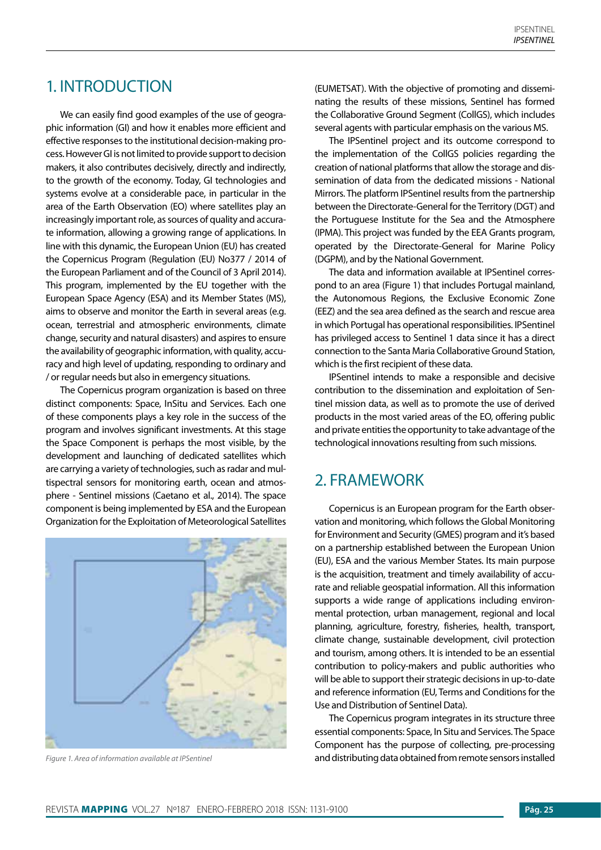# 1. INTRODUCTION

We can easily find good examples of the use of geographic information (GI) and how it enables more efficient and effective responses to the institutional decision-making process. However GI is not limited to provide support to decision makers, it also contributes decisively, directly and indirectly, to the growth of the economy. Today, GI technologies and systems evolve at a considerable pace, in particular in the area of the Earth Observation (EO) where satellites play an increasingly important role, as sources of quality and accurate information, allowing a growing range of applications. In line with this dynamic, the European Union (EU) has created the Copernicus Program (Regulation (EU) No377 / 2014 of the European Parliament and of the Council of 3 April 2014). This program, implemented by the EU together with the European Space Agency (ESA) and its Member States (MS), aims to observe and monitor the Earth in several areas (e.g. ocean, terrestrial and atmospheric environments, climate change, security and natural disasters) and aspires to ensure the availability of geographic information, with quality, accuracy and high level of updating, responding to ordinary and / or regular needs but also in emergency situations.

The Copernicus program organization is based on three distinct components: Space, InSitu and Services. Each one of these components plays a key role in the success of the program and involves significant investments. At this stage the Space Component is perhaps the most visible, by the development and launching of dedicated satellites which are carrying a variety of technologies, such as radar and multispectral sensors for monitoring earth, ocean and atmosphere - Sentinel missions (Caetano et al., 2014). The space component is being implemented by ESA and the European Organization for the Exploitation of Meteorological Satellites



(EUMETSAT). With the objective of promoting and disseminating the results of these missions, Sentinel has formed the Collaborative Ground Segment (CollGS), which includes several agents with particular emphasis on the various MS.

The IPSentinel project and its outcome correspond to the implementation of the CollGS policies regarding the creation of national platforms that allow the storage and dissemination of data from the dedicated missions - National Mirrors. The platform IPSentinel results from the partnership between the Directorate-General for the Territory (DGT) and the Portuguese Institute for the Sea and the Atmosphere (IPMA). This project was funded by the EEA Grants program, operated by the Directorate-General for Marine Policy (DGPM), and by the National Government.

The data and information available at IPSentinel correspond to an area (Figure 1) that includes Portugal mainland, the Autonomous Regions, the Exclusive Economic Zone (EEZ) and the sea area defined as the search and rescue area in which Portugal has operational responsibilities. IPSentinel has privileged access to Sentinel 1 data since it has a direct connection to the Santa Maria Collaborative Ground Station, which is the first recipient of these data.

IPSentinel intends to make a responsible and decisive contribution to the dissemination and exploitation of Sentinel mission data, as well as to promote the use of derived products in the most varied areas of the EO, offering public and private entities the opportunity to take advantage of the technological innovations resulting from such missions.

# 2. FRAMEWORK

Copernicus is an European program for the Earth observation and monitoring, which follows the Global Monitoring for Environment and Security (GMES) program and it's based on a partnership established between the European Union (EU), ESA and the various Member States. Its main purpose is the acquisition, treatment and timely availability of accurate and reliable geospatial information. All this information supports a wide range of applications including environmental protection, urban management, regional and local planning, agriculture, forestry, fisheries, health, transport, climate change, sustainable development, civil protection and tourism, among others. It is intended to be an essential contribution to policy-makers and public authorities who will be able to support their strategic decisions in up-to-date and reference information (EU, Terms and Conditions for the Use and Distribution of Sentinel Data).

The Copernicus program integrates in its structure three essential components: Space, In Situ and Services. The Space Component has the purpose of collecting, pre-processing *Figure 1. Area of information available at IPSentinel* and distributing data obtained from remote sensors installed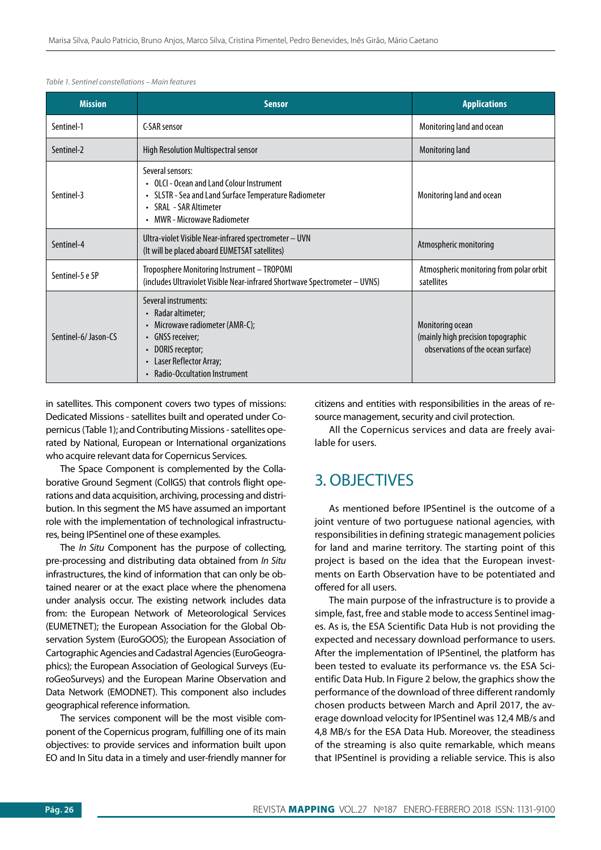| <b>Mission</b>      | <b>Sensor</b>                                                                                                                                                                           | <b>Applications</b>                                                                          |
|---------------------|-----------------------------------------------------------------------------------------------------------------------------------------------------------------------------------------|----------------------------------------------------------------------------------------------|
| Sentinel-1          | C-SAR sensor                                                                                                                                                                            | Monitoring land and ocean                                                                    |
| Sentinel-2          | High Resolution Multispectral sensor                                                                                                                                                    | <b>Monitoring land</b>                                                                       |
| Sentinel-3          | Several sensors:<br>• OLCI - Ocean and Land Colour Instrument<br>• SLSTR - Sea and Land Surface Temperature Radiometer<br>• SRAL - SAR Altimeter<br>• MWR - Microwave Radiometer        | Monitoring land and ocean                                                                    |
| Sentinel-4          | Ultra-violet Visible Near-infrared spectrometer - UVN<br>(It will be placed aboard EUMETSAT satellites)                                                                                 | Atmospheric monitoring                                                                       |
| Sentinel-5 e 5P     | Troposphere Monitoring Instrument - TROPOMI<br>(includes Ultraviolet Visible Near-infrared Shortwave Spectrometer - UVNS)                                                               | Atmospheric monitoring from polar orbit<br>satellites                                        |
| Sentinel-6/Jason-CS | Several instruments:<br>• Radar altimeter;<br>• Microwave radiometer (AMR-C);<br>• GNSS receiver;<br>• DORIS receptor;<br>Laser Reflector Array;<br><b>Radio-Occultation Instrument</b> | Monitoring ocean<br>(mainly high precision topographic<br>observations of the ocean surface) |

*Table 1. Sentinel constellations – Main features*

in satellites. This component covers two types of missions: Dedicated Missions - satellites built and operated under Copernicus (Table 1); and Contributing Missions - satellites operated by National, European or International organizations who acquire relevant data for Copernicus Services.

The Space Component is complemented by the Collaborative Ground Segment (CollGS) that controls flight operations and data acquisition, archiving, processing and distribution. In this segment the MS have assumed an important role with the implementation of technological infrastructures, being IPSentinel one of these examples.

The *In Situ* Component has the purpose of collecting, pre-processing and distributing data obtained from *In Situ* infrastructures, the kind of information that can only be obtained nearer or at the exact place where the phenomena under analysis occur. The existing network includes data from: the European Network of Meteorological Services (EUMETNET); the European Association for the Global Observation System (EuroGOOS); the European Association of Cartographic Agencies and Cadastral Agencies (EuroGeographics); the European Association of Geological Surveys (EuroGeoSurveys) and the European Marine Observation and Data Network (EMODNET). This component also includes geographical reference information.

The services component will be the most visible component of the Copernicus program, fulfilling one of its main objectives: to provide services and information built upon EO and In Situ data in a timely and user-friendly manner for citizens and entities with responsibilities in the areas of resource management, security and civil protection.

All the Copernicus services and data are freely available for users.

# 3. OBJECTIVES

As mentioned before IPSentinel is the outcome of a joint venture of two portuguese national agencies, with responsibilities in defining strategic management policies for land and marine territory. The starting point of this project is based on the idea that the European investments on Earth Observation have to be potentiated and offered for all users.

The main purpose of the infrastructure is to provide a simple, fast, free and stable mode to access Sentinel images. As is, the ESA Scientific Data Hub is not providing the expected and necessary download performance to users. After the implementation of IPSentinel, the platform has been tested to evaluate its performance vs. the ESA Scientific Data Hub. In Figure 2 below, the graphics show the performance of the download of three different randomly chosen products between March and April 2017, the average download velocity for IPSentinel was 12,4 MB/s and 4,8 MB/s for the ESA Data Hub. Moreover, the steadiness of the streaming is also quite remarkable, which means that IPSentinel is providing a reliable service. This is also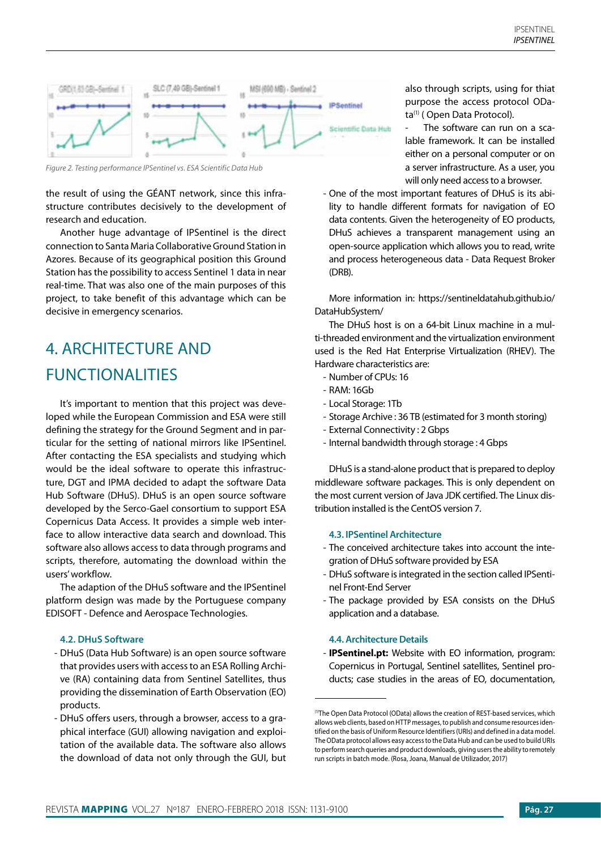

*Figure 2. Testing performance IPSentinel vs. ESA Scientific Data Hub*

the result of using the GÉANT network, since this infrastructure contributes decisively to the development of research and education.

Another huge advantage of IPSentinel is the direct connection to Santa Maria Collaborative Ground Station in Azores. Because of its geographical position this Ground Station has the possibility to access Sentinel 1 data in near real-time. That was also one of the main purposes of this project, to take benefit of this advantage which can be decisive in emergency scenarios.

# 4. ARCHITECTURE AND FUNCTIONALITIES

It's important to mention that this project was developed while the European Commission and ESA were still defining the strategy for the Ground Segment and in particular for the setting of national mirrors like IPSentinel. After contacting the ESA specialists and studying which would be the ideal software to operate this infrastructure, DGT and IPMA decided to adapt the software Data Hub Software (DHuS). DHuS is an open source software developed by the Serco-Gael consortium to support ESA Copernicus Data Access. It provides a simple web interface to allow interactive data search and download. This software also allows access to data through programs and scripts, therefore, automating the download within the users' workflow.

The adaption of the DHuS software and the IPSentinel platform design was made by the Portuguese company EDISOFT - Defence and Aerospace Technologies.

#### **4.2. DHuS Software**

- DHuS (Data Hub Software) is an open source software that provides users with access to an ESA Rolling Archive (RA) containing data from Sentinel Satellites, thus providing the dissemination of Earth Observation (EO) products.
- DHuS offers users, through a browser, access to a graphical interface (GUI) allowing navigation and exploitation of the available data. The software also allows the download of data not only through the GUI, but

also through scripts, using for thiat purpose the access protocol OData<sup>(1)</sup> (Open Data Protocol).

The software can run on a scalable framework. It can be installed either on a personal computer or on a server infrastructure. As a user, you will only need access to a browser.

- One of the most important features of DHuS is its ability to handle different formats for navigation of EO data contents. Given the heterogeneity of EO products, DHuS achieves a transparent management using an open-source application which allows you to read, write and process heterogeneous data - Data Request Broker (DRB).

More information in: https://sentineldatahub.github.io/ DataHubSystem/

The DHuS host is on a 64-bit Linux machine in a multi-threaded environment and the virtualization environment used is the Red Hat Enterprise Virtualization (RHEV). The Hardware characteristics are:

- Number of CPUs: 16
- RAM: 16Gb
- Local Storage: 1Tb
- Storage Archive : 36 TB (estimated for 3 month storing)
- External Connectivity : 2 Gbps
- Internal bandwidth through storage : 4 Gbps

DHuS is a stand-alone product that is prepared to deploy middleware software packages. This is only dependent on the most current version of Java JDK certified. The Linux distribution installed is the CentOS version 7.

## **4.3. IPSentinel Architecture**

- The conceived architecture takes into account the integration of DHuS software provided by ESA
- DHuS software is integrated in the section called IPSentinel Front-End Server
- The package provided by ESA consists on the DHuS application and a database.

## **4.4. Architecture Details**

- **IPSentinel.pt:** Website with EO information, program: Copernicus in Portugal, Sentinel satellites, Sentinel products; case studies in the areas of EO, documentation,

<sup>(1)</sup>The Open Data Protocol (OData) allows the creation of REST-based services, which allows web clients, based on HTTP messages, to publish and consume resources identified on the basis of Uniform Resource Identifiers (URIs) and defined in a data model. The OData protocol allows easy access to the Data Hub and can be used to build URIs to perform search queries and product downloads, giving users the ability to remotely run scripts in batch mode. (Rosa, Joana, Manual de Utilizador, 2017)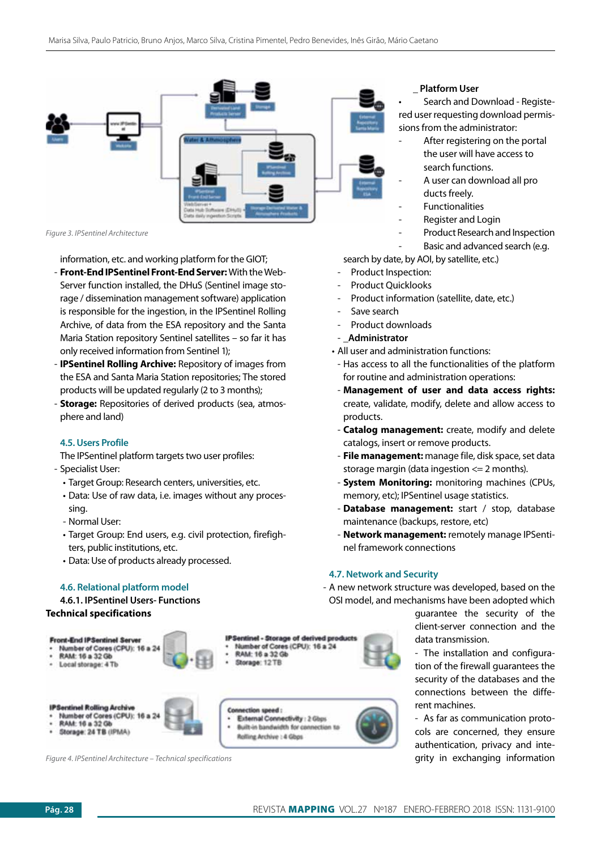

*Figure 3. IPSentinel Architecture*

information, etc. and working platform for the GIOT;

- **Front-End IPSentinel Front-End Server:** With the Web-Server function installed, the DHuS (Sentinel image storage / dissemination management software) application is responsible for the ingestion, in the IPSentinel Rolling Archive, of data from the ESA repository and the Santa Maria Station repository Sentinel satellites – so far it has only received information from Sentinel 1);
- **IPSentinel Rolling Archive:** Repository of images from the ESA and Santa Maria Station repositories; The stored products will be updated regularly (2 to 3 months);
- **Storage:** Repositories of derived products (sea, atmosphere and land)

## **4.5. Users Profile**

The IPSentinel platform targets two user profiles:

- Specialist User:
	- Target Group: Research centers, universities, etc.
	- Data: Use of raw data, i.e. images without any processing.
	- Normal User:
	- Target Group: End users, e.g. civil protection, firefighters, public institutions, etc.
	- Data: Use of products already processed.

#### **4.6. Relational platform model**

# **4.6.1. IPSentinel Users- Functions**

## **Technical specifications**



*Figure 4. IPSentinel Architecture – Technical specifications*

## **\_ Platform User**

• Search and Download - Registered user requesting download permissions from the administrator:

- After registering on the portal the user will have access to search functions.
- A user can download all pro ducts freely.
- **Functionalities**
- Register and Login
- Product Research and Inspection
- Basic and advanced search (e.g.

search by date, by AOI, by satellite, etc.)

- Product Inspection:
- Product Ouicklooks
- Product information (satellite, date, etc.)
- Save search
- Product downloads
- \_**Administrator**
- All user and administration functions:
- Has access to all the functionalities of the platform for routine and administration operations:
- **Management of user and data access rights:** create, validate, modify, delete and allow access to products.
- **Catalog management:** create, modify and delete catalogs, insert or remove products.
- **File management:** manage file, disk space, set data storage margin (data ingestion  $\leq$  2 months).
- **System Monitoring:** monitoring machines (CPUs, memory, etc); IPSentinel usage statistics.
- Database management: start / stop, database maintenance (backups, restore, etc)
- **Network management:** remotely manage IPSentinel framework connections

### **4.7. Network and Security**

- A new network structure was developed, based on the OSI model, and mechanisms have been adopted which

> guarantee the security of the client-server connection and the data transmission.

> - The installation and configuration of the firewall guarantees the security of the databases and the connections between the different machines.

> - As far as communication protocols are concerned, they ensure authentication, privacy and integrity in exchanging information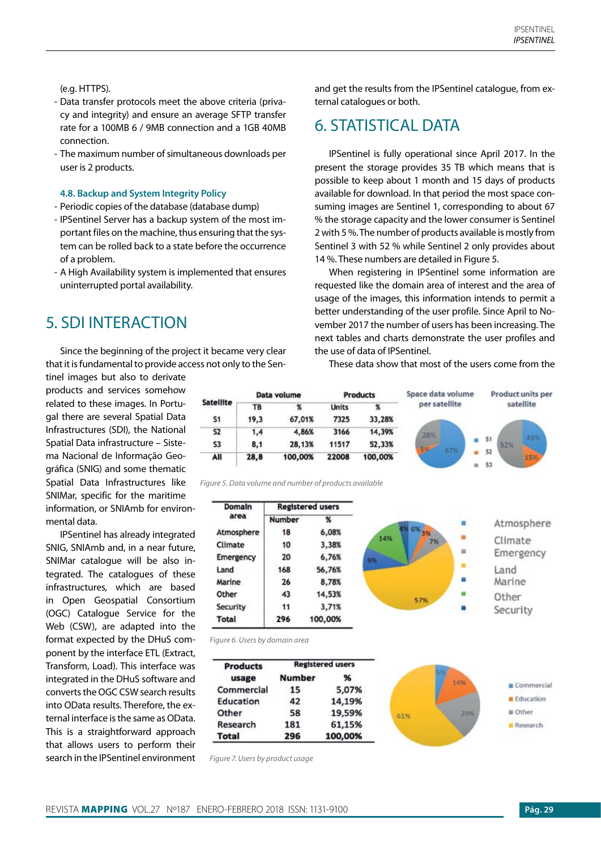## (e.g. HTTPS).

- Data transfer protocols meet the above criteria (privacy and integrity) and ensure an average SFTP transfer rate for a 100MB 6 / 9MB connection and a 1GB 40MB connection.
- The maximum number of simultaneous downloads per user is 2 products.

## **4.8. Backup and System Integrity Policy**

- Periodic copies of the database (database dump)
- IPSentinel Server has a backup system of the most important files on the machine, thus ensuring that the system can be rolled back to a state before the occurrence of a problem.
- A High Availability system is implemented that ensures uninterrupted portal availability.

# 5. SDI INTERACTION

Since the beginning of the project it became very clear that it is fundamental to provide access not only to the Sen-

tinel images but also to derivate products and services somehow related to these images. In Portugal there are several Spatial Data Infrastructures (SDI), the National Spatial Data infrastructure – Sistema Nacional de Informação Geográfica (SNIG) and some thematic Spatial Data Infrastructures like SNIMar, specific for the maritime information, or SNIAmb for environmental data.

IPSentinel has already integrated SNIG, SNIAmb and, in a near future, SNIMar catalogue will be also integrated. The catalogues of these infrastructures, which are based in Open Geospatial Consortium (OGC) Catalogue Service for the Web (CSW), are adapted into the format expected by the DHuS component by the interface ETL (Extract, Transform, Load). This interface was integrated in the DHuS software and converts the OGC CSW search results into OData results. Therefore, the external interface is the same as OData. This is a straightforward approach that allows users to perform their search in the IPSentinel environment and get the results from the IPSentinel catalogue, from external catalogues or both.

# 6. STATISTICAL DATA

IPSentinel is fully operational since April 2017. In the present the storage provides 35 TB which means that is possible to keep about 1 month and 15 days of products available for download. In that period the most space consuming images are Sentinel 1, corresponding to about 67 % the storage capacity and the lower consumer is Sentinel 2 with 5 %. The number of products available is mostly from Sentinel 3 with 52 % while Sentinel 2 only provides about 14 %. These numbers are detailed in Figure 5.

When registering in IPSentinel some information are requested like the domain area of interest and the area of usage of the images, this information intends to permit a better understanding of the user profile. Since April to November 2017 the number of users has been increasing. The next tables and charts demonstrate the user profiles and the use of data of IPSentinel.

These data show that most of the users come from the



*Figure 5. Data volume and number of products available*

| Domain       |               | <b>Registered users</b> |     |         |            |
|--------------|---------------|-------------------------|-----|---------|------------|
| area         | <b>Number</b> | %                       |     |         | Atmosphere |
| Atmosphere   | 18            | 6,08%                   |     | $-6% -$ |            |
| Climate      | 10            | 3,38%                   | 14% | 7%      | Climate    |
| Emergency    | 20            | 6,76%                   | 9%  | 言       | Emergency  |
| Land         | 168           | 56,76%                  |     |         | Land       |
| Marine       | 26            | 8,78%                   |     | п       | Marine     |
| Other        | 43            | 14,53%                  |     | 57%     | Other      |
| Security     | 11            | 3,71%                   |     |         | Security   |
| <b>Total</b> | 296           | 100,00%                 |     |         |            |

*Figure 6. Users by domain area*

| <b>Products</b> |        | <b>Registered users</b> |     |     |            |
|-----------------|--------|-------------------------|-----|-----|------------|
| usage           | Number | %                       |     | 14% |            |
| Commercial      | 15     | 5,07%                   |     |     | Commercial |
| Education       | 42     | 14,19%                  |     |     | Education  |
| Other           | 58     | 19,59%                  | 61% | 20% | = Other    |
| Research        | 181    | 61,15%                  |     |     | Research   |
| <b>Total</b>    | 296    | 100,00%                 |     |     |            |

*Figure 7. Users by product usage*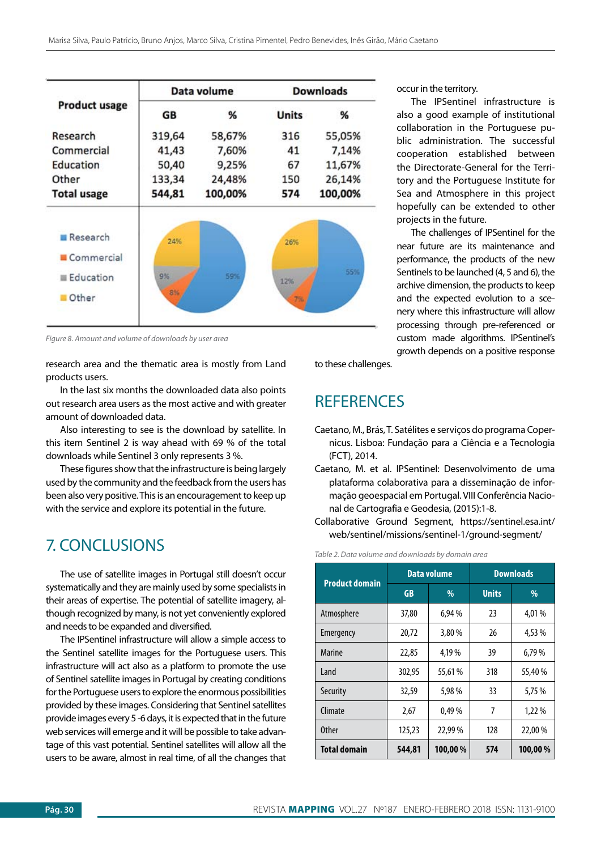|                      |        | Data volume | <b>Downloads</b> |         |
|----------------------|--------|-------------|------------------|---------|
| <b>Product usage</b> | GB     | %           | <b>Units</b>     | %       |
| Research             | 319,64 | 58,67%      | 316              | 55,05%  |
| Commercial           | 41,43  | 7,60%       | 41               | 7,14%   |
| Education            | 50,40  | 9,25%       | 67               | 11,67%  |
| Other                | 133,34 | 24,48%      | 150              | 26,14%  |
| <b>Total usage</b>   | 544,81 | 100,00%     | 574              | 100,00% |
| Research             | 24%    |             | 26%              |         |
| Commercial           |        |             |                  |         |
|                      | 9%     | 59%         |                  | 55%     |
| Education            |        |             | 12%              |         |

*Figure 8. Amount and volume of downloads by user area*

research area and the thematic area is mostly from Land products users.

In the last six months the downloaded data also points out research area users as the most active and with greater amount of downloaded data.

Also interesting to see is the download by satellite. In this item Sentinel 2 is way ahead with 69 % of the total downloads while Sentinel 3 only represents 3 %.

These figures show that the infrastructure is being largely used by the community and the feedback from the users has been also very positive. This is an encouragement to keep up with the service and explore its potential in the future.

# 7. CONCLUSIONS

The use of satellite images in Portugal still doesn't occur systematically and they are mainly used by some specialists in their areas of expertise. The potential of satellite imagery, although recognized by many, is not yet conveniently explored and needs to be expanded and diversified.

The IPSentinel infrastructure will allow a simple access to the Sentinel satellite images for the Portuguese users. This infrastructure will act also as a platform to promote the use of Sentinel satellite images in Portugal by creating conditions for the Portuguese users to explore the enormous possibilities provided by these images. Considering that Sentinel satellites provide images every 5 -6 days, it is expected that in the future web services will emerge and it will be possible to take advantage of this vast potential. Sentinel satellites will allow all the users to be aware, almost in real time, of all the changes that occur in the territory.

The IPSentinel infrastructure is also a good example of institutional collaboration in the Portuguese public administration. The successful cooperation established between the Directorate-General for the Territory and the Portuguese Institute for Sea and Atmosphere in this project hopefully can be extended to other projects in the future.

The challenges of IPSentinel for the near future are its maintenance and performance, the products of the new Sentinels to be launched (4, 5 and 6), the archive dimension, the products to keep and the expected evolution to a scenery where this infrastructure will allow processing through pre-referenced or custom made algorithms. IPSentinel's growth depends on a positive response

to these challenges.

## **REFERENCES**

- Caetano, M., Brás, T. Satélites e serviços do programa Copernicus. Lisboa: Fundação para a Ciência e a Tecnologia (FCT), 2014.
- Caetano, M. et al. IPSentinel: Desenvolvimento de uma plataforma colaborativa para a disseminação de informação geoespacial em Portugal. VIII Conferência Nacional de Cartografia e Geodesia, (2015):1-8.
- Collaborative Ground Segment, https://sentinel.esa.int/ web/sentinel/missions/sentinel-1/ground-segment/

#### *Table 2. Data volume and downloads by domain area*

| <b>Product domain</b> |           | <b>Data volume</b> | <b>Downloads</b> |         |  |
|-----------------------|-----------|--------------------|------------------|---------|--|
|                       | <b>GB</b> | %                  | <b>Units</b>     | %       |  |
| Atmosphere            | 37,80     | 6,94 %             | 23               | 4,01%   |  |
| Emergency             | 20,72     | 3,80%              | 26               | 4.53 %  |  |
| <b>Marine</b>         | 22,85     | 4,19 %             | 39               | 6,79%   |  |
| <b>Land</b>           | 302,95    | 55.61 %            | 318              | 55.40 % |  |
| Security              | 32,59     | 5,98 %             | 33               | 5,75 %  |  |
| Climate               | 2,67      | 0,49%              | 7                | 1,22 %  |  |
| <b>Other</b>          | 125,23    | 22,99%             | 128              | 22,00%  |  |
| <b>Total domain</b>   | 544,81    | 100,00%            | 574              | 100,00% |  |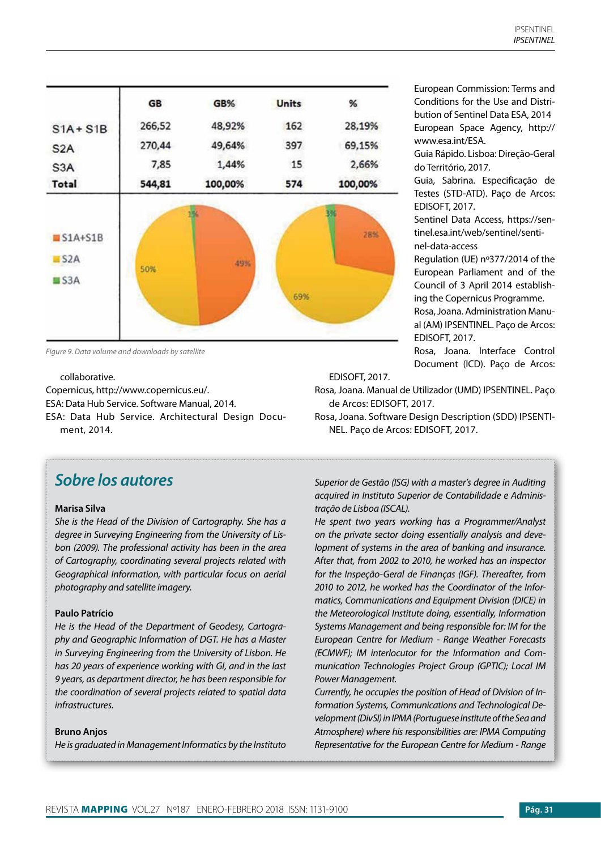|                         | GB     | GB%     | <b>Units</b> | %       |
|-------------------------|--------|---------|--------------|---------|
| $S1A + S1B$             | 266,52 | 48,92%  | 162          | 28,19%  |
| S <sub>2</sub> A        | 270,44 | 49,64%  | 397          | 69,15%  |
| S <sub>3</sub> A        | 7,85   | 1,44%   | 15           | 2,66%   |
| Total                   | 544,81 | 100,00% | 574          | 100,00% |
|                         |        |         |              |         |
| $S1A+S1B$<br>S2A<br>S3A | 50%    | 49%     |              | 28%     |

*Figure 9. Data volume and downloads by satellite*

#### collaborative.

Copernicus, http://www.copernicus.eu/. ESA: Data Hub Service. Software Manual, 2014. ESA: Data Hub Service. Architectural Design Document, 2014.

# *Sobre los autores*

## **Marisa Silva**

*She is the Head of the Division of Cartography. She has a degree in Surveying Engineering from the University of Lisbon (2009). The professional activity has been in the area of Cartography, coordinating several projects related with Geographical Information, with particular focus on aerial photography and satellite imagery.* 

### **Paulo Patrício**

*He is the Head of the Department of Geodesy, Cartography and Geographic Information of DGT. He has a Master in Surveying Engineering from the University of Lisbon. He has 20 years of experience working with GI, and in the last 9 years, as department director, he has been responsible for the coordination of several projects related to spatial data infrastructures.*

#### **Bruno Anjos**

*He is graduated in Management Informatics by the Instituto* 

European Commission: Terms and Conditions for the Use and Distribution of Sentinel Data ESA, 2014 European Space Agency, http:// www.esa.int/ESA.

Guia Rápido. Lisboa: Direção-Geral do Território, 2017.

Guia, Sabrina. Especificação de Testes (STD-ATD). Paço de Arcos: EDISOFT, 2017.

Sentinel Data Access, https://sentinel.esa.int/web/sentinel/sentinel-data-access

Regulation (UE) nº377/2014 of the European Parliament and of the Council of 3 April 2014 establishing the Copernicus Programme. Rosa, Joana. Administration Manual (AM) IPSENTINEL. Paço de Arcos: EDISOFT, 2017.

Rosa, Joana. Interface Control Document (ICD). Paço de Arcos:

EDISOFT, 2017.

Rosa, Joana. Manual de Utilizador (UMD) IPSENTINEL. Paço de Arcos: EDISOFT, 2017.

Rosa, Joana. Software Design Description (SDD) IPSENTI-NEL. Paço de Arcos: EDISOFT, 2017.

*Superior de Gestão (ISG) with a master's degree in Auditing acquired in Instituto Superior de Contabilidade e Administração de Lisboa (ISCAL).* 

*He spent two years working has a Programmer/Analyst on the private sector doing essentially analysis and development of systems in the area of banking and insurance. After that, from 2002 to 2010, he worked has an inspector for the Inspeção-Geral de Finanças (IGF). Thereafter, from 2010 to 2012, he worked has the Coordinator of the Informatics, Communications and Equipment Division (DICE) in the Meteorological Institute doing, essentially, Information Systems Management and being responsible for: IM for the European Centre for Medium - Range Weather Forecasts (ECMWF); IM interlocutor for the Information and Communication Technologies Project Group (GPTIC); Local IM Power Management.*

*Currently, he occupies the position of Head of Division of Information Systems, Communications and Technological Development (DivSI) in IPMA (Portuguese Institute of the Sea and Atmosphere) where his responsibilities are: IPMA Computing Representative for the European Centre for Medium - Range*